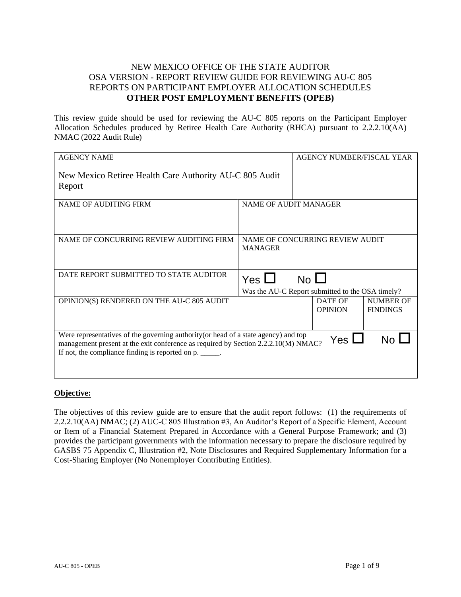## NEW MEXICO OFFICE OF THE STATE AUDITOR OSA VERSION - REPORT REVIEW GUIDE FOR REVIEWING AU-C 805 REPORTS ON PARTICIPANT EMPLOYER ALLOCATION SCHEDULES **OTHER POST EMPLOYMENT BENEFITS (OPEB)**

This review guide should be used for reviewing the AU-C 805 reports on the Participant Employer Allocation Schedules produced by Retiree Health Care Authority (RHCA) pursuant to 2.2.2.10(AA) NMAC (2022 Audit Rule)

| <b>AGENCY NAME</b>                                                                                                                                                                                                            |                              | <b>AGENCY NUMBER/FISCAL YEAR</b>                 |                                     |
|-------------------------------------------------------------------------------------------------------------------------------------------------------------------------------------------------------------------------------|------------------------------|--------------------------------------------------|-------------------------------------|
| New Mexico Retiree Health Care Authority AU-C 805 Audit<br>Report                                                                                                                                                             |                              |                                                  |                                     |
|                                                                                                                                                                                                                               |                              |                                                  |                                     |
| <b>NAME OF AUDITING FIRM</b>                                                                                                                                                                                                  | <b>NAME OF AUDIT MANAGER</b> |                                                  |                                     |
| NAME OF CONCURRING REVIEW AUDITING FIRM                                                                                                                                                                                       | <b>MANAGER</b>               | NAME OF CONCURRING REVIEW AUDIT                  |                                     |
| DATE REPORT SUBMITTED TO STATE AUDITOR                                                                                                                                                                                        | Yes L                        | No L                                             |                                     |
|                                                                                                                                                                                                                               |                              | Was the AU-C Report submitted to the OSA timely? |                                     |
| OPINION(S) RENDERED ON THE AU-C 805 AUDIT                                                                                                                                                                                     |                              | <b>DATE OF</b><br><b>OPINION</b>                 | <b>NUMBER OF</b><br><b>FINDINGS</b> |
| Were representatives of the governing authority (or head of a state agency) and top<br>management present at the exit conference as required by Section 2.2.2.10(M) NMAC?<br>If not, the compliance finding is reported on p. |                              | Yes $\Box$                                       | No.                                 |

## **Objective:**

The objectives of this review guide are to ensure that the audit report follows: (1) the requirements of 2.2.2.10(AA) NMAC; (2) AUC-C 805 Illustration #3, An Auditor's Report of a Specific Element, Account or Item of a Financial Statement Prepared in Accordance with a General Purpose Framework; and (3) provides the participant governments with the information necessary to prepare the disclosure required by GASBS 75 Appendix C, Illustration #2, Note Disclosures and Required Supplementary Information for a Cost-Sharing Employer (No Nonemployer Contributing Entities).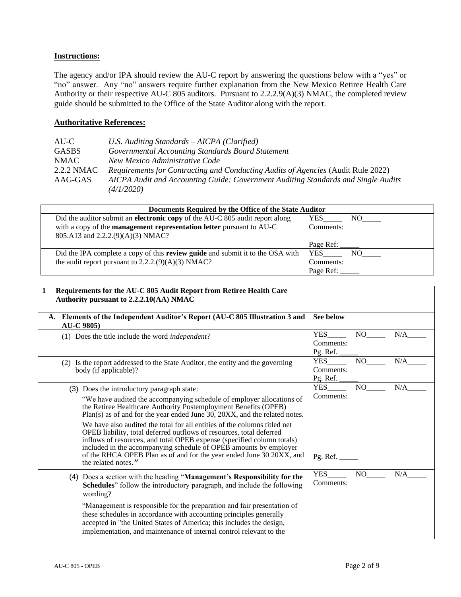## **Instructions:**

The agency and/or IPA should review the AU-C report by answering the questions below with a "yes" or "no" answer. Any "no" answers require further explanation from the New Mexico Retiree Health Care Authority or their respective AU-C 805 auditors. Pursuant to 2.2.2.9(A)(3) NMAC, the completed review guide should be submitted to the Office of the State Auditor along with the report.

## **Authoritative References:**

| AU-C              | U.S. Auditing Standards – AICPA (Clarified)                                       |
|-------------------|-----------------------------------------------------------------------------------|
| <b>GASBS</b>      | Governmental Accounting Standards Board Statement                                 |
| NMAC <sub>1</sub> | New Mexico Administrative Code                                                    |
| 2.2.2 NMAC        | Requirements for Contracting and Conducting Audits of Agencies (Audit Rule 2022)  |
| AAG-GAS           | AICPA Audit and Accounting Guide: Government Auditing Standards and Single Audits |
|                   | (4/1/2020)                                                                        |

| Documents Required by the Office of the State Auditor                                                            |                   |
|------------------------------------------------------------------------------------------------------------------|-------------------|
| Did the auditor submit an electronic copy of the AU-C 805 audit report along                                     | <b>YES</b><br>NO. |
| with a copy of the <b>management representation letter</b> pursuant to AU-C<br>805.A13 and 2.2.2.(9)(A)(3) NMAC? | Comments:         |
|                                                                                                                  | Page Ref:         |
| Did the IPA complete a copy of this <b>review guide</b> and submit it to the OSA with                            | YES<br>NO.        |
| the audit report pursuant to $2.2.2(9)(A)(3) NMAC?$                                                              | Comments:         |
|                                                                                                                  | Page Ref:         |

| Requirements for the AU-C 805 Audit Report from Retiree Health Care<br>1<br>Authority pursuant to 2.2.2.10(AA) NMAC                                                                                                                                                                                                                                                                                                                                                                                                                                                                                                                                                       |                                     |     |     |
|---------------------------------------------------------------------------------------------------------------------------------------------------------------------------------------------------------------------------------------------------------------------------------------------------------------------------------------------------------------------------------------------------------------------------------------------------------------------------------------------------------------------------------------------------------------------------------------------------------------------------------------------------------------------------|-------------------------------------|-----|-----|
| A. Elements of the Independent Auditor's Report (AU-C 805 Illustration 3 and<br><b>AU-C 9805)</b>                                                                                                                                                                                                                                                                                                                                                                                                                                                                                                                                                                         | See below                           |     |     |
| (1) Does the title include the word <i>independent?</i>                                                                                                                                                                                                                                                                                                                                                                                                                                                                                                                                                                                                                   | <b>YES</b><br>Comments:<br>Pg. Ref. | NO. | N/A |
| (2) Is the report addressed to the State Auditor, the entity and the governing<br>body (if applicable)?                                                                                                                                                                                                                                                                                                                                                                                                                                                                                                                                                                   | <b>YES</b><br>Comments:<br>Pg. Ref. | NO. | N/A |
| (3) Does the introductory paragraph state:<br>"We have audited the accompanying schedule of employer allocations of<br>the Retiree Healthcare Authority Postemployment Benefits (OPEB)<br>$Plan(s)$ as of and for the year ended June 30, 20XX, and the related notes.<br>We have also audited the total for all entities of the columns titled net<br>OPEB liability, total deferred outflows of resources, total deferred<br>inflows of resources, and total OPEB expense (specified column totals)<br>included in the accompanying schedule of OPEB amounts by employer<br>of the RHCA OPEB Plan as of and for the year ended June 30 20XX, and<br>the related notes." | <b>YES</b><br>Comments:             | NO  | N/A |
| (4) Does a section with the heading "Management's Responsibility for the<br>Schedules" follow the introductory paragraph, and include the following<br>wording?<br>"Management is responsible for the preparation and fair presentation of<br>these schedules in accordance with accounting principles generally<br>accepted in "the United States of America; this includes the design,<br>implementation, and maintenance of internal control relevant to the                                                                                                                                                                                                           | <b>YES</b><br>Comments:             | NO  | N/A |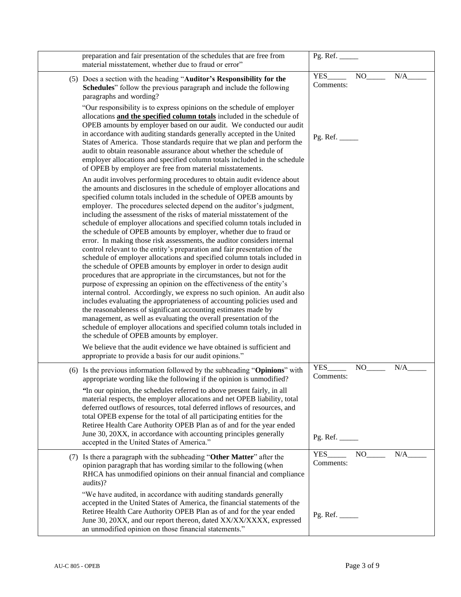| preparation and fair presentation of the schedules that are free from<br>material misstatement, whether due to fraud or error"                                                                                                                                                                                                                                                                                                                                                                                                                                                                                                                                                                                                                                                                                                                                                                                                                                                                                                                                                                                                                                                                                                                                                                                                                                                                                                                                                                                                                  | Pg. Ref.                |    |     |
|-------------------------------------------------------------------------------------------------------------------------------------------------------------------------------------------------------------------------------------------------------------------------------------------------------------------------------------------------------------------------------------------------------------------------------------------------------------------------------------------------------------------------------------------------------------------------------------------------------------------------------------------------------------------------------------------------------------------------------------------------------------------------------------------------------------------------------------------------------------------------------------------------------------------------------------------------------------------------------------------------------------------------------------------------------------------------------------------------------------------------------------------------------------------------------------------------------------------------------------------------------------------------------------------------------------------------------------------------------------------------------------------------------------------------------------------------------------------------------------------------------------------------------------------------|-------------------------|----|-----|
| (5) Does a section with the heading "Auditor's Responsibility for the<br>Schedules" follow the previous paragraph and include the following<br>paragraphs and wording?                                                                                                                                                                                                                                                                                                                                                                                                                                                                                                                                                                                                                                                                                                                                                                                                                                                                                                                                                                                                                                                                                                                                                                                                                                                                                                                                                                          | YES<br>Comments:        | NO | N/A |
| "Our responsibility is to express opinions on the schedule of employer<br>allocations and the specified column totals included in the schedule of<br>OPEB amounts by employer based on our audit. We conducted our audit<br>in accordance with auditing standards generally accepted in the United<br>States of America. Those standards require that we plan and perform the<br>audit to obtain reasonable assurance about whether the schedule of<br>employer allocations and specified column totals included in the schedule<br>of OPEB by employer are free from material misstatements.                                                                                                                                                                                                                                                                                                                                                                                                                                                                                                                                                                                                                                                                                                                                                                                                                                                                                                                                                   | Pg. Ref.                |    |     |
| An audit involves performing procedures to obtain audit evidence about<br>the amounts and disclosures in the schedule of employer allocations and<br>specified column totals included in the schedule of OPEB amounts by<br>employer. The procedures selected depend on the auditor's judgment,<br>including the assessment of the risks of material misstatement of the<br>schedule of employer allocations and specified column totals included in<br>the schedule of OPEB amounts by employer, whether due to fraud or<br>error. In making those risk assessments, the auditor considers internal<br>control relevant to the entity's preparation and fair presentation of the<br>schedule of employer allocations and specified column totals included in<br>the schedule of OPEB amounts by employer in order to design audit<br>procedures that are appropriate in the circumstances, but not for the<br>purpose of expressing an opinion on the effectiveness of the entity's<br>internal control. Accordingly, we express no such opinion. An audit also<br>includes evaluating the appropriateness of accounting policies used and<br>the reasonableness of significant accounting estimates made by<br>management, as well as evaluating the overall presentation of the<br>schedule of employer allocations and specified column totals included in<br>the schedule of OPEB amounts by employer.<br>We believe that the audit evidence we have obtained is sufficient and<br>appropriate to provide a basis for our audit opinions." |                         |    |     |
| (6) Is the previous information followed by the subheading "Opinions" with<br>appropriate wording like the following if the opinion is unmodified?                                                                                                                                                                                                                                                                                                                                                                                                                                                                                                                                                                                                                                                                                                                                                                                                                                                                                                                                                                                                                                                                                                                                                                                                                                                                                                                                                                                              | <b>YES</b><br>Comments: | NO | N/A |
| "In our opinion, the schedules referred to above present fairly, in all<br>material respects, the employer allocations and net OPEB liability, total<br>deferred outflows of resources, total deferred inflows of resources, and<br>total OPEB expense for the total of all participating entities for the<br>Retiree Health Care Authority OPEB Plan as of and for the year ended<br>June 30, 20XX, in accordance with accounting principles generally<br>accepted in the United States of America."                                                                                                                                                                                                                                                                                                                                                                                                                                                                                                                                                                                                                                                                                                                                                                                                                                                                                                                                                                                                                                           |                         |    |     |
| (7) Is there a paragraph with the subheading "Other Matter" after the<br>opinion paragraph that has wording similar to the following (when<br>RHCA has unmodified opinions on their annual financial and compliance<br>audits)?                                                                                                                                                                                                                                                                                                                                                                                                                                                                                                                                                                                                                                                                                                                                                                                                                                                                                                                                                                                                                                                                                                                                                                                                                                                                                                                 | YES<br>Comments:        | NO | N/A |
| "We have audited, in accordance with auditing standards generally<br>accepted in the United States of America, the financial statements of the<br>Retiree Health Care Authority OPEB Plan as of and for the year ended<br>June 30, 20XX, and our report thereon, dated XX/XX/XXXX, expressed<br>an unmodified opinion on those financial statements."                                                                                                                                                                                                                                                                                                                                                                                                                                                                                                                                                                                                                                                                                                                                                                                                                                                                                                                                                                                                                                                                                                                                                                                           |                         |    |     |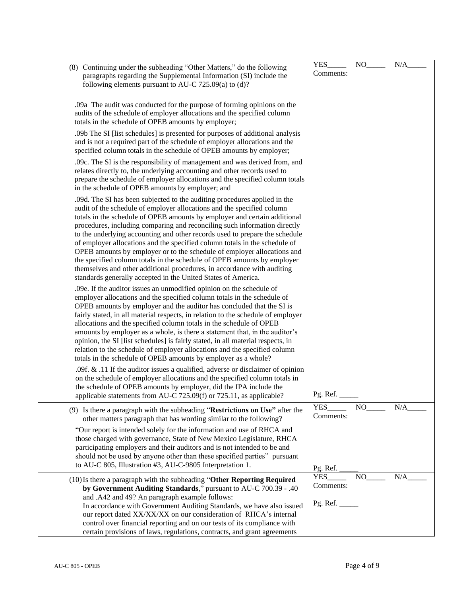| (8) Continuing under the subheading "Other Matters," do the following                                                                                                                                                                                                                                                                                                                                                                                                                                                                                                                                                                                                                                                                                                        | YES_                          | NO - | N/A |
|------------------------------------------------------------------------------------------------------------------------------------------------------------------------------------------------------------------------------------------------------------------------------------------------------------------------------------------------------------------------------------------------------------------------------------------------------------------------------------------------------------------------------------------------------------------------------------------------------------------------------------------------------------------------------------------------------------------------------------------------------------------------------|-------------------------------|------|-----|
| paragraphs regarding the Supplemental Information (SI) include the<br>following elements pursuant to AU-C 725.09(a) to (d)?                                                                                                                                                                                                                                                                                                                                                                                                                                                                                                                                                                                                                                                  | Comments:                     |      |     |
| .09a The audit was conducted for the purpose of forming opinions on the<br>audits of the schedule of employer allocations and the specified column<br>totals in the schedule of OPEB amounts by employer;                                                                                                                                                                                                                                                                                                                                                                                                                                                                                                                                                                    |                               |      |     |
| .09b The SI [list schedules] is presented for purposes of additional analysis<br>and is not a required part of the schedule of employer allocations and the<br>specified column totals in the schedule of OPEB amounts by employer;                                                                                                                                                                                                                                                                                                                                                                                                                                                                                                                                          |                               |      |     |
| .09c. The SI is the responsibility of management and was derived from, and<br>relates directly to, the underlying accounting and other records used to<br>prepare the schedule of employer allocations and the specified column totals<br>in the schedule of OPEB amounts by employer; and                                                                                                                                                                                                                                                                                                                                                                                                                                                                                   |                               |      |     |
| .09d. The SI has been subjected to the auditing procedures applied in the<br>audit of the schedule of employer allocations and the specified column<br>totals in the schedule of OPEB amounts by employer and certain additional<br>procedures, including comparing and reconciling such information directly<br>to the underlying accounting and other records used to prepare the schedule<br>of employer allocations and the specified column totals in the schedule of<br>OPEB amounts by employer or to the schedule of employer allocations and<br>the specified column totals in the schedule of OPEB amounts by employer<br>themselves and other additional procedures, in accordance with auditing<br>standards generally accepted in the United States of America. |                               |      |     |
| .09e. If the auditor issues an unmodified opinion on the schedule of<br>employer allocations and the specified column totals in the schedule of<br>OPEB amounts by employer and the auditor has concluded that the SI is<br>fairly stated, in all material respects, in relation to the schedule of employer<br>allocations and the specified column totals in the schedule of OPEB<br>amounts by employer as a whole, is there a statement that, in the auditor's<br>opinion, the SI [list schedules] is fairly stated, in all material respects, in<br>relation to the schedule of employer allocations and the specified column<br>totals in the schedule of OPEB amounts by employer as a whole?                                                                         |                               |      |     |
| .09f. $\&$ .11 If the auditor issues a qualified, adverse or disclaimer of opinion<br>on the schedule of employer allocations and the specified column totals in<br>the schedule of OPEB amounts by employer, did the IPA include the<br>applicable statements from AU-C 725.09(f) or 725.11, as applicable?                                                                                                                                                                                                                                                                                                                                                                                                                                                                 | Pg. Ref.                      |      |     |
| (9) Is there a paragraph with the subheading "Restrictions on Use" after the<br>other matters paragraph that has wording similar to the following?                                                                                                                                                                                                                                                                                                                                                                                                                                                                                                                                                                                                                           | YES_<br>Comments:             | NO   | N/A |
| "Our report is intended solely for the information and use of RHCA and<br>those charged with governance, State of New Mexico Legislature, RHCA<br>participating employers and their auditors and is not intended to be and<br>should not be used by anyone other than these specified parties" pursuant<br>to AU-C 805, Illustration #3, AU-C-9805 Interpretation 1.                                                                                                                                                                                                                                                                                                                                                                                                         | Pg. Ref.                      |      |     |
| (10) Is there a paragraph with the subheading "Other Reporting Required<br>by Government Auditing Standards," pursuant to AU-C 700.39 - .40<br>and .A42 and 49? An paragraph example follows:<br>In accordance with Government Auditing Standards, we have also issued<br>our report dated XX/XX/XX on our consideration of RHCA's internal<br>control over financial reporting and on our tests of its compliance with<br>certain provisions of laws, regulations, contracts, and grant agreements                                                                                                                                                                                                                                                                          | YES_<br>Comments:<br>Pg. Ref. | NO   | N/A |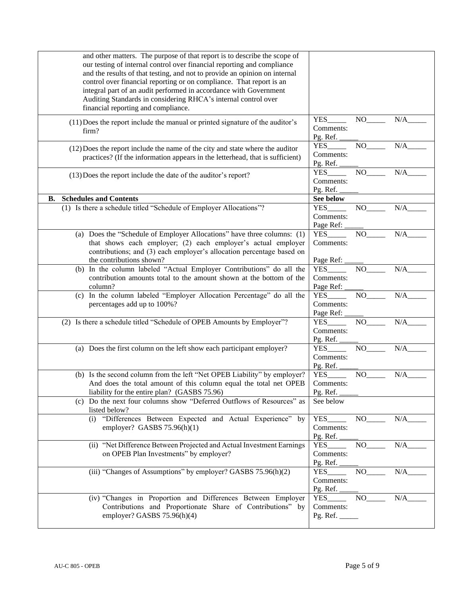| and other matters. The purpose of that report is to describe the scope of<br>our testing of internal control over financial reporting and compliance<br>and the results of that testing, and not to provide an opinion on internal<br>control over financial reporting or on compliance. That report is an<br>integral part of an audit performed in accordance with Government<br>Auditing Standards in considering RHCA's internal control over<br>financial reporting and compliance. |                                      |          |     |
|------------------------------------------------------------------------------------------------------------------------------------------------------------------------------------------------------------------------------------------------------------------------------------------------------------------------------------------------------------------------------------------------------------------------------------------------------------------------------------------|--------------------------------------|----------|-----|
| (11) Does the report include the manual or printed signature of the auditor's<br>firm?                                                                                                                                                                                                                                                                                                                                                                                                   | <b>YES</b><br>Comments:<br>Pg. Ref.  | $NO_$    | N/A |
| (12) Does the report include the name of the city and state where the auditor<br>practices? (If the information appears in the letterhead, that is sufficient)                                                                                                                                                                                                                                                                                                                           | <b>YES</b><br>Comments:<br>Pg. Ref.  | NO       | N/A |
| (13) Does the report include the date of the auditor's report?                                                                                                                                                                                                                                                                                                                                                                                                                           | <b>YES</b><br>Comments:<br>Pg. Ref.  | NO.      | N/A |
| <b>Schedules and Contents</b><br>В.                                                                                                                                                                                                                                                                                                                                                                                                                                                      | See below                            |          |     |
| (1) Is there a schedule titled "Schedule of Employer Allocations"?                                                                                                                                                                                                                                                                                                                                                                                                                       | <b>YES</b><br>Comments:<br>Page Ref: | NO       | N/A |
| (a) Does the "Schedule of Employer Allocations" have three columns: (1)<br>that shows each employer; (2) each employer's actual employer<br>contributions; and (3) each employer's allocation percentage based on<br>the contributions shown?                                                                                                                                                                                                                                            | <b>YES</b><br>Comments:<br>Page Ref: | NO       | N/A |
| (b) In the column labeled "Actual Employer Contributions" do all the<br>contribution amounts total to the amount shown at the bottom of the<br>column?                                                                                                                                                                                                                                                                                                                                   | <b>YES</b><br>Comments:<br>Page Ref: | NO.      | N/A |
| (c) In the column labeled "Employer Allocation Percentage" do all the<br>percentages add up to 100%?                                                                                                                                                                                                                                                                                                                                                                                     | <b>YES</b><br>Comments:<br>Page Ref: | NO.      | N/A |
| (2) Is there a schedule titled "Schedule of OPEB Amounts by Employer"?                                                                                                                                                                                                                                                                                                                                                                                                                   | <b>YES</b><br>Comments:<br>Pg. Ref.  | NO.      | N/A |
| (a) Does the first column on the left show each participant employer?                                                                                                                                                                                                                                                                                                                                                                                                                    | <b>YES</b><br>Comments:<br>Pg. Ref.  | NO       | N/A |
| (b) Is the second column from the left "Net OPEB Liability" by employer?<br>And does the total amount of this column equal the total net OPEB<br>liability for the entire plan? (GASBS 75.96)                                                                                                                                                                                                                                                                                            | <b>YES</b><br>Comments:<br>Pg. Ref.  | NO       | N/A |
| (c) Do the next four columns show "Deferred Outflows of Resources" as<br>listed below?                                                                                                                                                                                                                                                                                                                                                                                                   | See below                            |          |     |
| (i) "Differences Between Expected and Actual Experience" by<br>employer? GASBS 75.96(h)(1)                                                                                                                                                                                                                                                                                                                                                                                               | YES_<br>Comments:<br>Pg. Ref.        | $NO_{-}$ | N/A |
| (ii) "Net Difference Between Projected and Actual Investment Earnings<br>on OPEB Plan Investments" by employer?                                                                                                                                                                                                                                                                                                                                                                          | YES<br>Comments:<br>Pg. Ref.         | NO       | N/A |
| (iii) "Changes of Assumptions" by employer? GASBS 75.96(h)(2)                                                                                                                                                                                                                                                                                                                                                                                                                            | YES<br>Comments:<br>Pg. Ref.         | NO       | N/A |
| (iv) "Changes in Proportion and Differences Between Employer<br>Contributions and Proportionate Share of Contributions" by<br>employer? GASBS 75.96(h)(4)                                                                                                                                                                                                                                                                                                                                | YES<br>Comments:<br>Pg. Ref. $\_\_$  | NO       | N/A |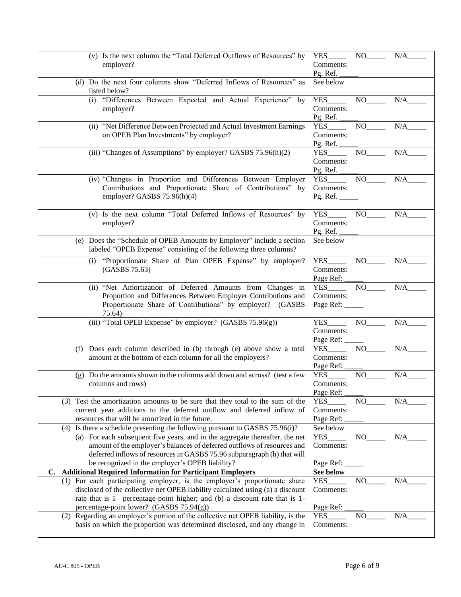| (v) Is the next column the "Total Deferred Outflows of Resources" by                  | <b>YES</b> | NO  | N/A |
|---------------------------------------------------------------------------------------|------------|-----|-----|
| employer?                                                                             | Comments:  |     |     |
|                                                                                       | Pg. Ref.   |     |     |
| (d) Do the next four columns show "Deferred Inflows of Resources" as<br>listed below? | See below  |     |     |
| (i) "Differences Between Expected and Actual Experience" by                           | YES_       | NO  | N/A |
| employer?                                                                             | Comments:  |     |     |
|                                                                                       | Pg. Ref.   |     |     |
| (ii) "Net Difference Between Projected and Actual Investment Earnings                 | <b>YES</b> | NO  | N/A |
| on OPEB Plan Investments" by employer?                                                | Comments:  |     |     |
|                                                                                       | Pg. Ref.   |     |     |
| (iii) "Changes of Assumptions" by employer? GASBS 75.96(h)(2)                         | <b>YES</b> | NO  | N/A |
|                                                                                       | Comments:  |     |     |
|                                                                                       | Pg. Ref.   |     |     |
| (iv) "Changes in Proportion and Differences Between Employer                          | <b>YES</b> | NO  | N/A |
| Contributions and Proportionate Share of Contributions" by                            | Comments:  |     |     |
| employer? GASBS 75.96(h)(4)                                                           | Pg. Ref.   |     |     |
|                                                                                       |            |     |     |
| (v) Is the next column "Total Deferred Inflows of Resources" by                       | <b>YES</b> | NO  | N/A |
| employer?                                                                             | Comments:  |     |     |
|                                                                                       | Pg. Ref.   |     |     |
| (e) Does the "Schedule of OPEB Amounts by Employer" include a section                 | See below  |     |     |
| labeled "OPEB Expense" consisting of the following three columns?                     |            |     |     |
| (i) "Proportionate Share of Plan OPEB Expense" by employer?                           | <b>YES</b> | NO  | N/A |
| (GASBS 75.63)                                                                         | Comments:  |     |     |
|                                                                                       | Page Ref:  |     |     |
| (ii) "Net Amortization of Deferred Amounts from Changes in                            | <b>YES</b> | NO  | N/A |
| Proportion and Differences Between Employer Contributions and                         | Comments:  |     |     |
| Proportionate Share of Contributions" by employer? (GASBS<br>75.64)                   | Page Ref:  |     |     |
| (iii) "Total OPEB Expense" by employer? (GASBS 75.96(g))                              | <b>YES</b> | NO. | N/A |
|                                                                                       | Comments:  |     |     |
|                                                                                       | Page Ref:  |     |     |
| (f) Does each column described in (b) through (e) above show a total                  | <b>YES</b> | NO  | N/A |
| amount at the bottom of each column for all the employers?                            | Comments:  |     |     |
|                                                                                       | Page Ref:  |     |     |
| (g) Do the amounts shown in the columns add down and across? (test a few              | YES        | NO. | N/A |
| columns and rows)                                                                     | Comments:  |     |     |
|                                                                                       | Page Ref:  |     |     |
| (3) Test the amortization amounts to be sure that they total to the sum of the        | YES        | NO  | N/A |
| current year additions to the deferred outflow and deferred inflow of                 | Comments:  |     |     |
| resources that will be amortized in the future.                                       | Page Ref:  |     |     |
| (4) Is there a schedule presenting the following pursuant to GASBS $75.96(i)$ ?       | See below  |     |     |
| (a) For each subsequent five years, and in the aggregate thereafter, the net          | YES        | NO  | N/A |
| amount of the employer's balances of deferred outflows of resources and               | Comments:  |     |     |
| deferred inflows of resources in GASBS 75.96 subparagraph (h) that will               |            |     |     |
| be recognized in the employer's OPEB liability?                                       | Page Ref:  |     |     |
| <b>Additional Required Information for Participant Employers</b><br>$\mathbf{C}$ .    | See below  |     |     |
| (1) For each participating employer, is the employer's proportionate share            | YES        | NO  | N/A |
| disclosed of the collective net OPEB liability calculated using (a) a discount        | Comments:  |     |     |
| rate that is 1 -percentage-point higher; and (b) a discount rate that is 1-           |            |     |     |
| percentage-point lower? (GASBS 75.94(g))                                              | Page Ref:  |     |     |
| (2) Regarding an employer's portion of the collective net OPEB liability, is the      | <b>YES</b> | NO  | N/A |
| basis on which the proportion was determined disclosed, and any change in             | Comments:  |     |     |
|                                                                                       |            |     |     |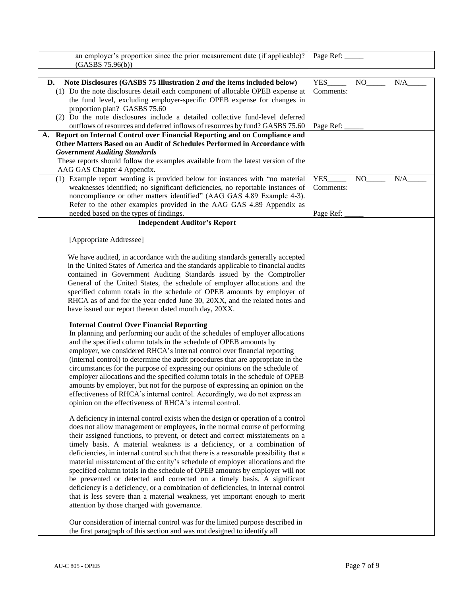| an employer's proportion since the prior measurement date (if applicable)?<br>(GASBS 75.96(b))                                                                  | Page Ref: $_{-}$ |    |     |
|-----------------------------------------------------------------------------------------------------------------------------------------------------------------|------------------|----|-----|
|                                                                                                                                                                 |                  |    |     |
| Note Disclosures (GASBS 75 Illustration 2 and the items included below)<br>D.<br>(1) Do the note disclosures detail each component of allocable OPEB expense at | YES_             | NO | N/A |
| the fund level, excluding employer-specific OPEB expense for changes in                                                                                         | Comments:        |    |     |
| proportion plan? GASBS 75.60                                                                                                                                    |                  |    |     |
| (2) Do the note disclosures include a detailed collective fund-level deferred                                                                                   |                  |    |     |
| outflows of resources and deferred inflows of resources by fund? GASBS 75.60                                                                                    | Page Ref:        |    |     |
| A. Report on Internal Control over Financial Reporting and on Compliance and                                                                                    |                  |    |     |
| Other Matters Based on an Audit of Schedules Performed in Accordance with                                                                                       |                  |    |     |
| <b>Government Auditing Standards</b>                                                                                                                            |                  |    |     |
| These reports should follow the examples available from the latest version of the                                                                               |                  |    |     |
| AAG GAS Chapter 4 Appendix.                                                                                                                                     |                  |    |     |
| (1) Example report wording is provided below for instances with "no material                                                                                    | <b>YES</b>       | NO | N/A |
| weaknesses identified; no significant deficiencies, no reportable instances of                                                                                  | Comments:        |    |     |
| noncompliance or other matters identified" (AAG GAS 4.89 Example 4-3).<br>Refer to the other examples provided in the AAG GAS 4.89 Appendix as                  |                  |    |     |
| needed based on the types of findings.                                                                                                                          | Page Ref:        |    |     |
| <b>Independent Auditor's Report</b>                                                                                                                             |                  |    |     |
|                                                                                                                                                                 |                  |    |     |
| [Appropriate Addressee]                                                                                                                                         |                  |    |     |
|                                                                                                                                                                 |                  |    |     |
| We have audited, in accordance with the auditing standards generally accepted                                                                                   |                  |    |     |
| in the United States of America and the standards applicable to financial audits                                                                                |                  |    |     |
| contained in Government Auditing Standards issued by the Comptroller                                                                                            |                  |    |     |
| General of the United States, the schedule of employer allocations and the<br>specified column totals in the schedule of OPEB amounts by employer of            |                  |    |     |
| RHCA as of and for the year ended June 30, 20XX, and the related notes and                                                                                      |                  |    |     |
| have issued our report thereon dated month day, 20XX.                                                                                                           |                  |    |     |
|                                                                                                                                                                 |                  |    |     |
| <b>Internal Control Over Financial Reporting</b>                                                                                                                |                  |    |     |
| In planning and performing our audit of the schedules of employer allocations                                                                                   |                  |    |     |
| and the specified column totals in the schedule of OPEB amounts by                                                                                              |                  |    |     |
| employer, we considered RHCA's internal control over financial reporting<br>(internal control) to determine the audit procedures that are appropriate in the    |                  |    |     |
| circumstances for the purpose of expressing our opinions on the schedule of                                                                                     |                  |    |     |
| employer allocations and the specified column totals in the schedule of OPEB                                                                                    |                  |    |     |
| amounts by employer, but not for the purpose of expressing an opinion on the                                                                                    |                  |    |     |
| effectiveness of RHCA's internal control. Accordingly, we do not express an                                                                                     |                  |    |     |
| opinion on the effectiveness of RHCA's internal control.                                                                                                        |                  |    |     |
|                                                                                                                                                                 |                  |    |     |
| A deficiency in internal control exists when the design or operation of a control<br>does not allow management or employees, in the normal course of performing |                  |    |     |
| their assigned functions, to prevent, or detect and correct misstatements on a                                                                                  |                  |    |     |
| timely basis. A material weakness is a deficiency, or a combination of                                                                                          |                  |    |     |
| deficiencies, in internal control such that there is a reasonable possibility that a                                                                            |                  |    |     |
| material misstatement of the entity's schedule of employer allocations and the                                                                                  |                  |    |     |
| specified column totals in the schedule of OPEB amounts by employer will not                                                                                    |                  |    |     |
| be prevented or detected and corrected on a timely basis. A significant                                                                                         |                  |    |     |
| deficiency is a deficiency, or a combination of deficiencies, in internal control                                                                               |                  |    |     |
| that is less severe than a material weakness, yet important enough to merit                                                                                     |                  |    |     |
| attention by those charged with governance.                                                                                                                     |                  |    |     |
| Our consideration of internal control was for the limited purpose described in                                                                                  |                  |    |     |
| the first paragraph of this section and was not designed to identify all                                                                                        |                  |    |     |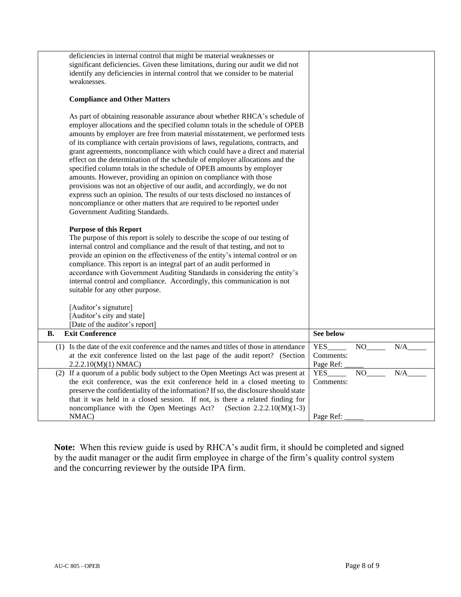|    | deficiencies in internal control that might be material weaknesses or<br>significant deficiencies. Given these limitations, during our audit we did not<br>identify any deficiencies in internal control that we consider to be material<br>weaknesses.<br><b>Compliance and Other Matters</b><br>As part of obtaining reasonable assurance about whether RHCA's schedule of<br>employer allocations and the specified column totals in the schedule of OPEB<br>amounts by employer are free from material misstatement, we performed tests<br>of its compliance with certain provisions of laws, regulations, contracts, and<br>grant agreements, noncompliance with which could have a direct and material<br>effect on the determination of the schedule of employer allocations and the<br>specified column totals in the schedule of OPEB amounts by employer<br>amounts. However, providing an opinion on compliance with those<br>provisions was not an objective of our audit, and accordingly, we do not<br>express such an opinion. The results of our tests disclosed no instances of<br>noncompliance or other matters that are required to be reported under<br>Government Auditing Standards. |                                      |     |     |
|----|-------------------------------------------------------------------------------------------------------------------------------------------------------------------------------------------------------------------------------------------------------------------------------------------------------------------------------------------------------------------------------------------------------------------------------------------------------------------------------------------------------------------------------------------------------------------------------------------------------------------------------------------------------------------------------------------------------------------------------------------------------------------------------------------------------------------------------------------------------------------------------------------------------------------------------------------------------------------------------------------------------------------------------------------------------------------------------------------------------------------------------------------------------------------------------------------------------------|--------------------------------------|-----|-----|
|    | <b>Purpose of this Report</b><br>The purpose of this report is solely to describe the scope of our testing of<br>internal control and compliance and the result of that testing, and not to<br>provide an opinion on the effectiveness of the entity's internal control or on<br>compliance. This report is an integral part of an audit performed in<br>accordance with Government Auditing Standards in considering the entity's<br>internal control and compliance. Accordingly, this communication is not<br>suitable for any other purpose.                                                                                                                                                                                                                                                                                                                                                                                                                                                                                                                                                                                                                                                            |                                      |     |     |
|    | [Auditor's signature]<br>[Auditor's city and state]<br>[Date of the auditor's report]                                                                                                                                                                                                                                                                                                                                                                                                                                                                                                                                                                                                                                                                                                                                                                                                                                                                                                                                                                                                                                                                                                                       |                                      |     |     |
| В. | <b>Exit Conference</b>                                                                                                                                                                                                                                                                                                                                                                                                                                                                                                                                                                                                                                                                                                                                                                                                                                                                                                                                                                                                                                                                                                                                                                                      | See below                            |     |     |
|    | (1) Is the date of the exit conference and the names and titles of those in attendance<br>at the exit conference listed on the last page of the audit report? (Section<br>2.2.2.10(M)(1) NMAC                                                                                                                                                                                                                                                                                                                                                                                                                                                                                                                                                                                                                                                                                                                                                                                                                                                                                                                                                                                                               | <b>YES</b><br>Comments:<br>Page Ref: | NO  | N/A |
|    | (2) If a quorum of a public body subject to the Open Meetings Act was present at<br>the exit conference, was the exit conference held in a closed meeting to<br>preserve the confidentiality of the information? If so, the disclosure should state<br>that it was held in a closed session. If not, is there a related finding for<br>noncompliance with the Open Meetings Act?<br>(Section $2.2.2.10(M)(1-3)$ )<br>NMAC)                                                                                                                                                                                                                                                                                                                                                                                                                                                                                                                                                                                                                                                                                                                                                                                  | <b>YES</b><br>Comments:<br>Page Ref: | NO. | N/A |

**Note:** When this review guide is used by RHCA's audit firm, it should be completed and signed by the audit manager or the audit firm employee in charge of the firm's quality control system and the concurring reviewer by the outside IPA firm.